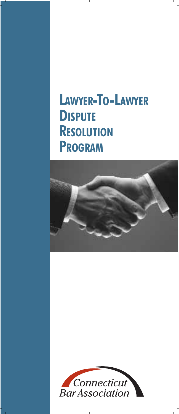# **LAWYER-TO-LAWYER DISPUTE RESOLUTION PROGRAM**



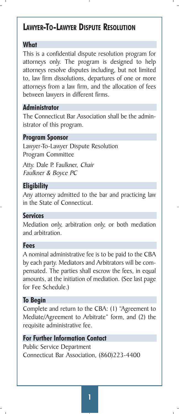# **LAWYER-TO-LAWYER DISPUTE RESOLUTION**

# **What**

This is a confidential dispute resolution program for attorneys only. The program is designed to help attorneys resolve disputes including, but not limited to, law firm dissolutions, departures of one or more attorneys from a law firm, and the allocation of fees between lawyers in different firms.

# **Administrator**

The Connecticut Bar Association shall be the administrator of this program.

# **Program Sponsor**

Lawyer-To-Lawyer Dispute Resolution Program Committee

Atty. Dale P. Faulkner, Chair Faulkner & Boyce PC

# **Eligibility**

Any attorney admitted to the bar and practicing law in the State of Connecticut.

### **Services**

Mediation only, arbitration only, or both mediation and arbitration.

### **Fees**

A nominal administrative fee is to be paid to the CBA by each party. Mediators and Arbitrators will be compensated. The parties shall escrow the fees, in equal amounts, at the initiation of mediation. (See last page for Fee Schedule.)

### **To Begin**

Complete and return to the CBA: (1) "Agreement to Mediate/Agreement to Arbitrate" form, and (2) the requisite administrative fee.

# **For Further Information Contact**

Public Service Department Connecticut Bar Association, (860)223-4400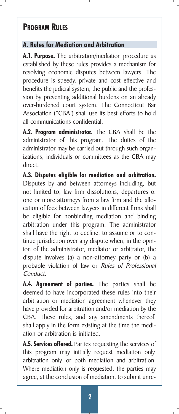# **PROGRAM RULES**

# **A. Rules for Mediation and Arbitration**

**A.1. Purpose.** The arbitration/mediation procedure as established by these rules provides a mechanism for resolving economic disputes between lawyers. The procedure is speedy, private and cost effective and benefits the judicial system, the public and the profession by preventing additional burdens on an already over-burdened court system. The Connecticut Bar Association ("CBA") shall use its best efforts to hold all communications confidential.

**A.2. Program administrator.** The CBA shall be the administrator of this program. The duties of the administrator may be carried out through such organizations, individuals or committees as the CBA may direct.

**A.3. Disputes eligible for mediation and arbitration.** Disputes by and between attorneys including, but not limited to, law firm dissolutions, departures of one or more attorneys from a law firm and the allocation of fees between lawyers in different firms shall be eligible for nonbinding mediation and binding arbitration under this program. The administrator shall have the right to decline, to assume or to continue jurisdiction over any dispute when, in the opinion of the administrator, mediator or arbitrator, the dispute involves (a) a non-attorney party or (b) a probable violation of law or Rules of Professional Conduct.

**A.4. Agreement of parties.** The parties shall be deemed to have incorporated these rules into their arbitration or mediation agreement whenever they have provided for arbitration and/or mediation by the CBA. These rules, and any amendments thereof, shall apply in the form existing at the time the mediation or arbitration is initiated.

**A.5. Services offered.** Parties requesting the services of this program may initially request mediation only, arbitration only, or both mediation and arbitration. Where mediation only is requested, the parties may agree, at the conclusion of mediation, to submit unre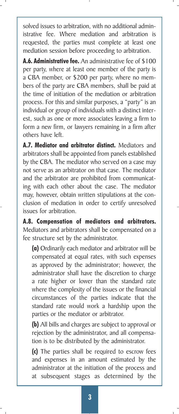solved issues to arbitration, with no additional administrative fee. Where mediation and arbitration is requested, the parties must complete at least one mediation session before proceeding to arbitration.

**A.6. Administrative fee.** An administrative fee of \$100 per party, where at least one member of the party is a CBA member, or \$200 per party, where no members of the party are CBA members, shall be paid at the time of initiation of the mediation or arbitration process. For this and similar purposes, a "party" is an individual or group of individuals with a distinct interest, such as one or more associates leaving a firm to form a new firm, or lawyers remaining in a firm after others have left.

**A.7. Mediator and arbitrator distinct.** Mediators and arbitrators shall be appointed from panels established by the CBA. The mediator who served on a case may not serve as an arbitrator on that case. The mediator and the arbitrator are prohibited from communicating with each other about the case. The mediator may, however, obtain written stipulations at the conclusion of mediation in order to certify unresolved issues for arbitration.

**A.8. Compensation of mediators and arbitrators.** Mediators and arbitrators shall be compensated on a fee structure set by the administrator.

**(a)** Ordinarily each mediator and arbitrator will be compensated at equal rates, with such expenses as approved by the administrator; however, the administrator shall have the discretion to charge a rate higher or lower than the standard rate where the complexity of the issues or the financial circumstances of the parties indicate that the standard rate would work a hardship upon the parties or the mediator or arbitrator.

**(b)** All bills and charges are subject to approval or rejection by the administrator, and all compensation is to be distributed by the administrator.

**(c)** The parties shall be required to escrow fees and expenses in an amount estimated by the administrator at the initiation of the process and at subsequent stages as determined by the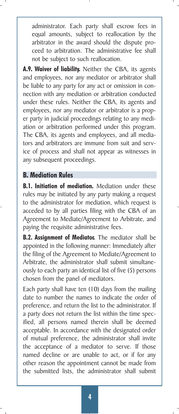administrator. Each party shall escrow fees in equal amounts, subject to reallocation by the arbitrator in the award should the dispute proceed to arbitration. The administrative fee shall not be subject to such reallocation.

**A.9. Waiver of liability.** Neither the CBA, its agents and employees, nor any mediator or arbitrator shall be liable to any party for any act or omission in connection with any mediation or arbitration conducted under these rules. Neither the CBA, its agents and employees, nor any mediator or arbitrator is a proper party in judicial proceedings relating to any mediation or arbitration performed under this program. The CBA, its agents and employees, and all mediators and arbitrators are immune from suit and service of process and shall not appear as witnesses in any subsequent proceedings.

# **B. Mediation Rules**

**B.1. Initiation of mediation.** Mediation under these rules may be initiated by any party making a request to the administrator for mediation, which request is acceded to by all parties filing with the CBA of an Agreement to Mediate/Agreement to Arbitrate, and paying the requisite administrative fees.

**B.2. Assignment of Mediator.** The mediator shall be appointed in the following manner: Immediately after the filing of the Agreement to Mediate/Agreement to Arbitrate, the administrator shall submit simultaneously to each party an identical list of five (5) persons chosen from the panel of mediators.

Each party shall have ten (10) days from the mailing date to number the names to indicate the order of preference, and return the list to the administrator. If a party does not return the list within the time specified, all persons named therein shall be deemed acceptable. In accordance with the designated order of mutual preference, the administrator shall invite the acceptance of a mediator to serve. If those named decline or are unable to act, or if for any other reason the appointment cannot be made from the submitted lists, the administrator shall submit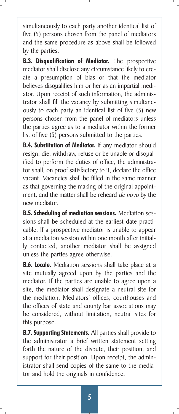simultaneously to each party another identical list of five (5) persons chosen from the panel of mediators and the same procedure as above shall be followed by the parties.

**B.3. Disqualification of Mediator.** The prospective mediator shall disclose any circumstance likely to create a presumption of bias or that the mediator believes disqualifies him or her as an impartial mediator. Upon receipt of such information, the administrator shall fill the vacancy by submitting simultaneously to each party an identical list of five (5) new persons chosen from the panel of mediators unless the parties agree as to a mediator within the former list of five (5) persons submitted to the parties.

**B.4. Substitution of Mediator.** If any mediator should resign, die, withdraw, refuse or be unable or disqualified to perform the duties of office, the administrator shall, on proof satisfactory to it, declare the office vacant. Vacancies shall be filled in the same manner as that governing the making of the original appointment, and the matter shall be reheard de novo by the new mediator.

**B.5. Scheduling of mediation sessions.** Mediation sessions shall be scheduled at the earliest date practicable. If a prospective mediator is unable to appear at a mediation session within one month after initially contacted, another mediator shall be assigned unless the parties agree otherwise.

**B.6. Locale.** Mediation sessions shall take place at a site mutually agreed upon by the parties and the mediator. If the parties are unable to agree upon a site, the mediator shall designate a neutral site for the mediation. Mediators' offices, courthouses and the offices of state and county bar associations may be considered, without limitation, neutral sites for this purpose.

**B.7. Supporting Statements.** All parties shall provide to the administrator a brief written statement setting forth the nature of the dispute, their position, and support for their position. Upon receipt, the administrator shall send copies of the same to the mediator and hold the originals in confidence.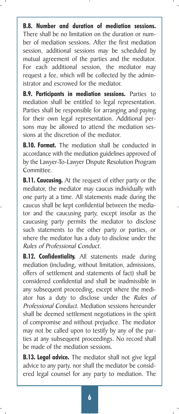**B.8. Number and duration of mediation sessions.** There shall be no limitation on the duration or number of mediation sessions. After the first mediation session, additional sessions may be scheduled by mutual agreement of the parties and the mediator. For each additional session, the mediator may request a fee, which will be collected by the administrator and escrowed for the mediator.

**B.9. Participants in mediation sessions.** Parties to mediation shall be entitled to legal representation. Parties shall be responsible for arranging and paying for their own legal representation. Additional persons may be allowed to attend the mediation sessions at the discretion of the mediator.

**B.10. Format.** The mediation shall be conducted in accordance with the mediation guidelines approved of by the Lawyer-To-Lawyer Dispute Resolution Program Committee.

**B.11. Caucusing.** At the request of either party or the mediator, the mediator may caucus individually with one party at a time. All statements made during the caucus shall be kept confidential between the mediator and the caucusing party, except insofar as the caucusing party permits the mediator to disclose such statements to the other party or parties, or where the mediator has a duty to disclose under the Rules of Professional Conduct.

**B.12. Confidentiality.** All statements made during mediation (including, without limitation, admissions, offers of settlement and statements of fact) shall be considered confidential and shall be inadmissible in any subsequent proceeding, except where the mediator has a duty to disclose under the Rules of Professional Conduct. Mediation sessions hereunder shall be deemed settlement negotiations in the spirit of compromise and without prejudice. The mediator may not be called upon to testify by any of the parties at any subsequent proceedings. No record shall be made of the mediation sessions.

**B.13. Legal advice.** The mediator shall not give legal advice to any party, nor shall the mediator be considered legal counsel for any party to mediation. The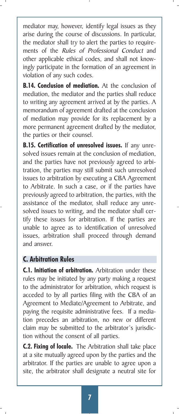mediator may, however, identify legal issues as they arise during the course of discussions. In particular, the mediator shall try to alert the parties to requirements of the Rules of Professional Conduct and other applicable ethical codes, and shall not knowingly participate in the formation of an agreement in violation of any such codes.

**B.14. Conclusion of mediation.** At the conclusion of mediation, the mediator and the parties shall reduce to writing any agreement arrived at by the parties. A memorandum of agreement drafted at the conclusion of mediation may provide for its replacement by a more permanent agreement drafted by the mediator, the parties or their counsel.

**B.15. Certification of unresolved issues.** If any unresolved issues remain at the conclusion of mediation, and the parties have not previously agreed to arbitration, the parties may still submit such unresolved issues to arbitration by executing a CBA Agreement to Arbitrate. In such a case, or if the parties have previously agreed to arbitration, the parties, with the assistance of the mediator, shall reduce any unresolved issues to writing, and the mediator shall certify these issues for arbitration. If the parties are unable to agree as to identification of unresolved issues, arbitration shall proceed through demand and answer.

# **C. Arbitration Rules**

**C.1. Initiation of arbitration.** Arbitration under these rules may be initiated by any party making a request to the administrator for arbitration, which request is acceded to by all parties filing with the CBA of an Agreement to Mediate/Agreement to Arbitrate, and paying the requisite administrative fees. If a mediation precedes an arbitration, no new or different claim may be submitted to the arbitrator's jurisdiction without the consent of all parties.

**C.2. Fixing of locale.** The Arbitration shall take place at a site mutually agreed upon by the parties and the arbitrator. If the parties are unable to agree upon a site, the arbitrator shall designate a neutral site for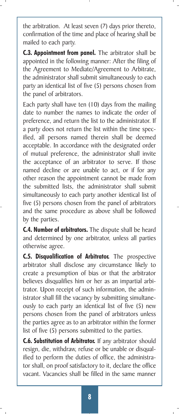the arbitration. At least seven (7) days prior thereto, confirmation of the time and place of hearing shall be mailed to each party.

**C.3. Appointment from panel.** The arbitrator shall be appointed in the following manner: After the filing of the Agreement to Mediate/Agreement to Arbitrate, the administrator shall submit simultaneously to each party an identical list of five (5) persons chosen from the panel of arbitrators.

Each party shall have ten (10) days from the mailing date to number the names to indicate the order of preference, and return the list to the administrator. If a party does not return the list within the time specified, all persons named therein shall be deemed acceptable. In accordance with the designated order of mutual preference, the administrator shall invite the acceptance of an arbitrator to serve. If those named decline or are unable to act, or if for any other reason the appointment cannot be made from the submitted lists, the administrator shall submit simultaneously to each party another identical list of five (5) persons chosen from the panel of arbitrators and the same procedure as above shall be followed by the parties.

**C.4. Number of arbitrators.** The dispute shall be heard and determined by one arbitrator, unless all parties otherwise agree.

**C.5. Disqualification of Arbitrator.** The prospective arbitrator shall disclose any circumstance likely to create a presumption of bias or that the arbitrator believes disqualifies him or her as an impartial arbitrator. Upon receipt of such information, the administrator shall fill the vacancy by submitting simultaneously to each party an identical list of five (5) new persons chosen from the panel of arbitrators unless the parties agree as to an arbitrator within the former list of five (5) persons submitted to the parties.

**C.6. Substitution of Arbitrator.** If any arbitrator should resign, die, withdraw, refuse or be unable or disqualified to perform the duties of office, the administrator shall, on proof satisfactory to it, declare the office vacant. Vacancies shall be filled in the same manner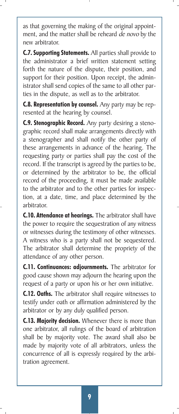as that governing the making of the original appointment, and the matter shall be reheard de novo by the new arbitrator.

**C.7. Supporting Statements.** All parties shall provide to the administrator a brief written statement setting forth the nature of the dispute, their position, and support for their position. Upon receipt, the administrator shall send copies of the same to all other parties in the dispute, as well as to the arbitrator.

**C.8. Representation by counsel.** Any party may be represented at the hearing by counsel.

**C.9. Stenographic Record.** Any party desiring a stenographic record shall make arrangements directly with a stenographer and shall notify the other party of these arrangements in advance of the hearing. The requesting party or parties shall pay the cost of the record. If the transcript is agreed by the parties to be, or determined by the arbitrator to be, the official record of the proceeding, it must be made available to the arbitrator and to the other parties for inspection, at a date, time, and place determined by the arbitrator.

**C.10. Attendance at hearings.** The arbitrator shall have the power to require the sequestration of any witness or witnesses during the testimony of other witnesses. A witness who is a party shall not be sequestered. The arbitrator shall determine the propriety of the attendance of any other person.

**C.11. Continuances: adjournments.** The arbitrator for good cause shown may adjourn the hearing upon the request of a party or upon his or her own initiative.

**C.12. Oaths.** The arbitrator shall require witnesses to testify under oath or affirmation administered by the arbitrator or by any duly qualified person.

**C.13. Majority decision.** Whenever there is more than one arbitrator, all rulings of the board of arbitration shall be by majority vote. The award shall also be made by majority vote of all arbitrators, unless the concurrence of all is expressly required by the arbitration agreement.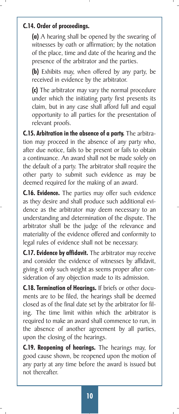# **C.14. Order of proceedings.**

**(a)** A hearing shall be opened by the swearing of witnesses by oath or affirmation; by the notation of the place, time and date of the hearing and the presence of the arbitrator and the parties.

**(b)** Exhibits may, when offered by any party, be received in evidence by the arbitrator.

**(c)** The arbitrator may vary the normal procedure under which the initiating party first presents its claim, but in any case shall afford full and equal opportunity to all parties for the presentation of relevant proofs.

**C.15. Arbitration in the absence of a party.** The arbitration may proceed in the absence of any party who, after due notice, fails to be present or fails to obtain a continuance. An award shall not be made solely on the default of a party. The arbitrator shall require the other party to submit such evidence as may be deemed required for the making of an award.

**C.16. Evidence.** The parties may offer such evidence as they desire and shall produce such additional evidence as the arbitrator may deem necessary to an understanding and determination of the dispute. The arbitrator shall be the judge of the relevance and materiality of the evidence offered and conformity to legal rules of evidence shall not be necessary.

**C.17. Evidence by affidavit.** The arbitrator may receive and consider the evidence of witnesses by affidavit, giving it only such weight as seems proper after consideration of any objection made to its admission.

**C.18. Termination of Hearings.** If briefs or other documents are to be filed, the hearings shall be deemed closed as of the final date set by the arbitrator for filing. The time limit within which the arbitrator is required to make an award shall commence to run, in the absence of another agreement by all parties, upon the closing of the hearings.

**C.19. Reopening of hearings.** The hearings may, for good cause shown, be reopened upon the motion of any party at any time before the award is issued but not thereafter.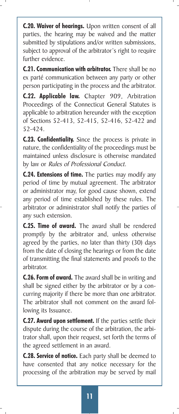**C.20. Waiver of hearings.** Upon written consent of all parties, the hearing may be waived and the matter submitted by stipulations and/or written submissions, subject to approval of the arbitrator's right to require further evidence.

**C.21. Communication with arbitrator.** There shall be no ex parté communication between any party or other person participating in the process and the arbitrator.

**C.22. Applicable law.** Chapter 909, Arbitration Proceedings of the Connecticut General Statutes is applicable to arbitration hereunder with the exception of Sections 52-413, 52-415, 52-416, 52-422 and 52-424.

**C.23. Confidentiality.** Since the process is private in nature, the confidentiality of the proceedings must be maintained unless disclosure is otherwise mandated by law or Rules of Professional Conduct.

**C.24. Extensions of time.** The parties may modify any period of time by mutual agreement. The arbitrator or administrator may, for good cause shown, extend any period of time established by these rules. The arbitrator or administrator shall notify the parties of any such extension.

**C.25. Time of award.** The award shall be rendered promptly by the arbitrator and, unless otherwise agreed by the parties, no later than thirty (30) days from the date of closing the hearings or from the date of transmitting the final statements and proofs to the arbitrator.

**C.26. Form of award.** The award shall be in writing and shall be signed either by the arbitrator or by a concurring majority if there be more than one arbitrator. The arbitrator shall not comment on the award following its Issuance.

**C.27. Award upon settlement.** If the parties settle their dispute during the course of the arbitration, the arbitrator shall, upon their request, set forth the terms of the agreed settlement in an award.

**C.28. Service of notice.** Each party shall be deemed to have consented that any notice necessary for the processing of the arbitration may be served by mail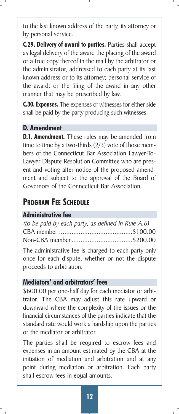to the last known address of the party, its attorney or by personal service.

**C.29. Delivery of award to parties.** Parties shall accept as legal delivery of the award the placing of the award or a true copy thereof in the mail by the arbitrator or the administrator, addressed to each party at its last known address or to its attorney; personal service of the award; or the filing of the award in any other manner that may be prescribed by law.

**C.30. Expenses.** The expenses of witnesses for either side shall be paid by the party producing such witnesses.

### **D. Amendment**

**D.1. Amendment.** These rules may be amended from time to time by a two-thirds (2/3) vote of those members of the Connecticut Bar Association Lawyer-To-Lawyer Dispute Resolution Committee who are present and voting after notice of the proposed amendment and subject to the approval of the Board of Governors of the Connecticut Bar Association.

# **PROGRAM FEE SCHEDULE**

### **Administrative fee**

| (to be paid by each party, as defined in Rule A.6) |  |
|----------------------------------------------------|--|
|                                                    |  |
|                                                    |  |

The administrative fee is charged to each party only once for each dispute, whether or not the dispute proceeds to arbitration.

# **Mediators' and arbitrators' fees**

\$600.00 per one-half day for each mediator or arbitrator. The CBA may adjust this rate upward or downward where the complexity of the issues or the financial circumstances of the parties indicate that the standard rate would work a hardship upon the parties or the mediator or arbitrator.

The parties shall be required to escrow fees and expenses in an amount estimated by the CBA at the initiation of mediation and arbitration and at any point during mediation or arbitration. Each party shall escrow fees in equal amounts.